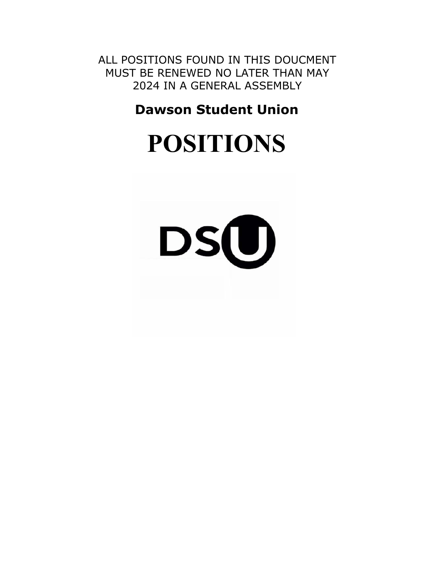ALL POSITIONS FOUND IN THIS DOUCMENT MUST BE RENEWED NO LATER THAN MAY 2024 IN A GENERAL ASSEMBLY

**Dawson Student Union** 

# **POSITIONS**

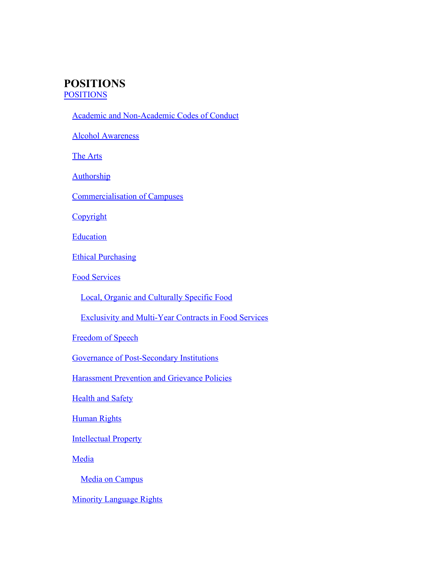# **POSITIONS** POSITIONS

| Academic and Non-Academic Codes of Conduct |  |
|--------------------------------------------|--|
|                                            |  |

Alcohol Awareness

The Arts

**Authorship** 

Commercialisation of Campuses

**Copyright** 

**Education** 

[Ethical Purchasing](#page-12-0)

[Food Services](#page-13-0)

[Local, Organic and Culturally Specific Food](#page-14-0)

[Exclusivity and Multi-Year Contracts in Food Services](#page-14-1)

[Freedom of Speech](#page-15-0)

[Governance of Post-Secondary Institutions](#page-16-0)

[Harassment Prevention and Grievance Policies](#page-17-0)

**[Health and Safety](#page-18-0)** 

**[Human Rights](#page-20-0)** 

**[Intellectual Property](#page-21-0)** 

**[Media](#page-23-0)** 

[Media on Campus](#page-23-1)

[Minority Language Rights](#page-25-0)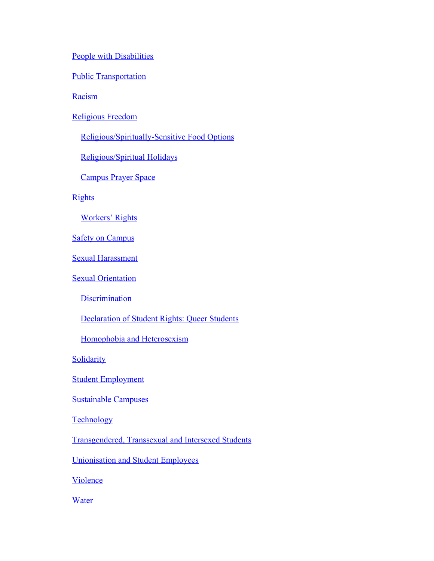[People with Disabilities](#page-26-0)

**[Public Transportation](#page-27-0)** 

**[Racism](#page-28-0)** 

[Religious Freedom](#page-29-0)

[Religious/Spiritually-Sensitive Food Options](#page-30-0)

[Religious/Spiritual Holidays](#page-30-1)

[Campus Prayer Space](#page-30-2)

**[Rights](#page-31-0)** 

[Workers' Rights](#page-32-0)

**[Safety on Campus](#page-32-1)** 

[Sexual Harassment](#page-33-0)

**[Sexual Orientation](#page-34-0)** 

**[Discrimination](#page-35-0)** 

[Declaration of Student Rights: Queer Students](#page-35-1)

[Homophobia and Heterosexism](#page-36-0)

**[Solidarity](#page-36-1)** 

[Student Employment](#page-37-0)

[Sustainable Campuses](#page-39-0)

**[Technology](#page-40-0)** 

[Transgendered, Transsexual and Intersexed Students](#page-41-0)

[Unionisation and Student Employees](#page-42-0)

[Violence](#page-43-0)

**[Water](#page-44-0)**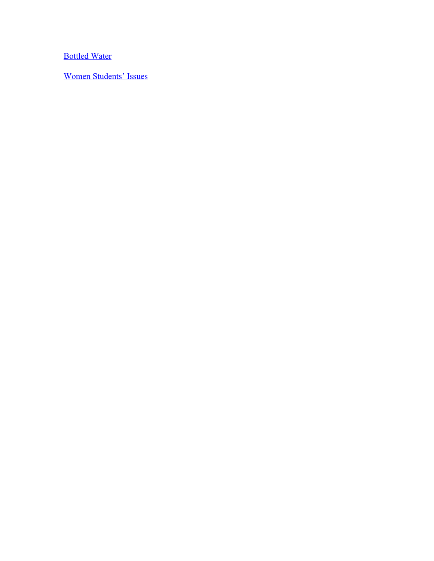[Bottled Water](#page-45-0)

[Women Students' Issues](#page-46-0)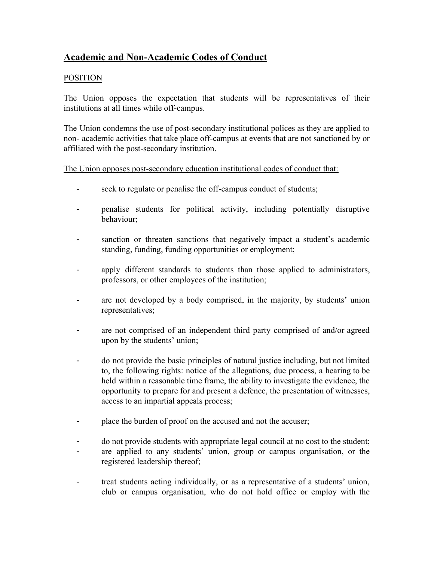# **Academic and Non-Academic Codes of Conduct**

# POSITION

The Union opposes the expectation that students will be representatives of their institutions at all times while off-campus.

The Union condemns the use of post-secondary institutional polices as they are applied to non- academic activities that take place off-campus at events that are not sanctioned by or affiliated with the post-secondary institution.

The Union opposes post-secondary education institutional codes of conduct that:

- seek to regulate or penalise the off-campus conduct of students;
- penalise students for political activity, including potentially disruptive behaviour;
- sanction or threaten sanctions that negatively impact a student's academic standing, funding, funding opportunities or employment;
- apply different standards to students than those applied to administrators, professors, or other employees of the institution;
- are not developed by a body comprised, in the majority, by students' union representatives;
- are not comprised of an independent third party comprised of and/or agreed upon by the students' union;
- do not provide the basic principles of natural justice including, but not limited to, the following rights: notice of the allegations, due process, a hearing to be held within a reasonable time frame, the ability to investigate the evidence, the opportunity to prepare for and present a defence, the presentation of witnesses, access to an impartial appeals process;
- place the burden of proof on the accused and not the accuser;
- do not provide students with appropriate legal council at no cost to the student;
- are applied to any students' union, group or campus organisation, or the registered leadership thereof;
- treat students acting individually, or as a representative of a students' union, club or campus organisation, who do not hold office or employ with the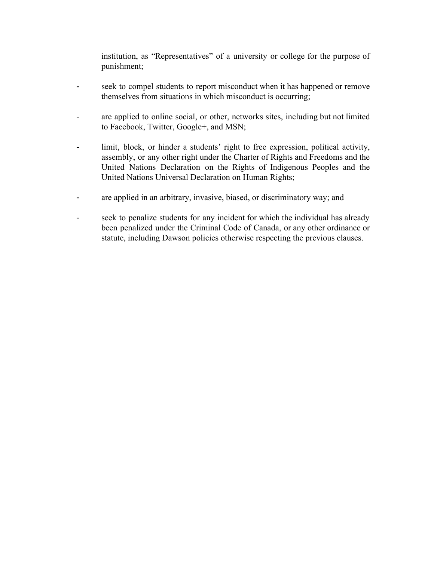institution, as "Representatives" of a university or college for the purpose of punishment;

- seek to compel students to report misconduct when it has happened or remove themselves from situations in which misconduct is occurring;
- are applied to online social, or other, networks sites, including but not limited to Facebook, Twitter, Google+, and MSN;
- limit, block, or hinder a students' right to free expression, political activity, assembly, or any other right under the Charter of Rights and Freedoms and the United Nations Declaration on the Rights of Indigenous Peoples and the United Nations Universal Declaration on Human Rights;
- are applied in an arbitrary, invasive, biased, or discriminatory way; and
- seek to penalize students for any incident for which the individual has already been penalized under the Criminal Code of Canada, or any other ordinance or statute, including Dawson policies otherwise respecting the previous clauses.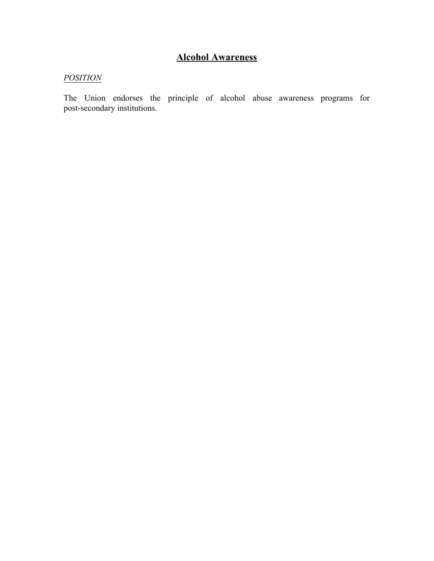# **Alcohol Awareness**

# *POSITION*

The Union endorses the principle of alcohol abuse awareness programs for post-secondary institutions.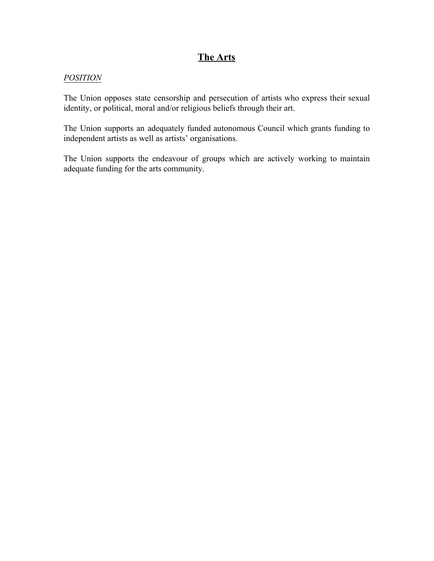# **The Arts**

#### *POSITION*

The Union opposes state censorship and persecution of artists who express their sexual identity, or political, moral and/or religious beliefs through their art.

The Union supports an adequately funded autonomous Council which grants funding to independent artists as well as artists' organisations.

The Union supports the endeavour of groups which are actively working to maintain adequate funding for the arts community.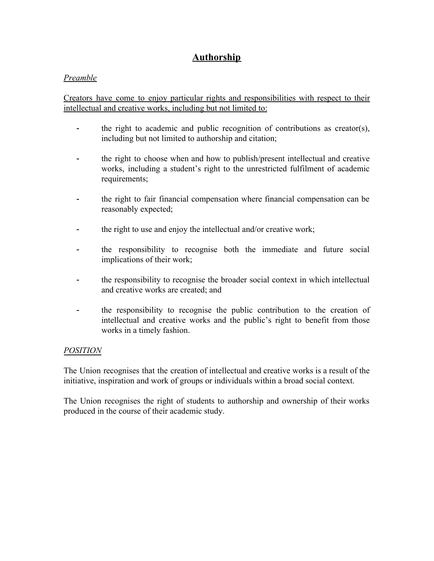# **Authorship**

## *Preamble*

Creators have come to enjoy particular rights and responsibilities with respect to their intellectual and creative works, including but not limited to:

- the right to academic and public recognition of contributions as creator(s), including but not limited to authorship and citation;
- the right to choose when and how to publish/present intellectual and creative works, including a student's right to the unrestricted fulfilment of academic requirements;
- the right to fair financial compensation where financial compensation can be reasonably expected;
- the right to use and enjoy the intellectual and/or creative work;
- the responsibility to recognise both the immediate and future social implications of their work;
- the responsibility to recognise the broader social context in which intellectual and creative works are created; and
- the responsibility to recognise the public contribution to the creation of intellectual and creative works and the public's right to benefit from those works in a timely fashion.

## *POSITION*

The Union recognises that the creation of intellectual and creative works is a result of the initiative, inspiration and work of groups or individuals within a broad social context.

The Union recognises the right of students to authorship and ownership of their works produced in the course of their academic study.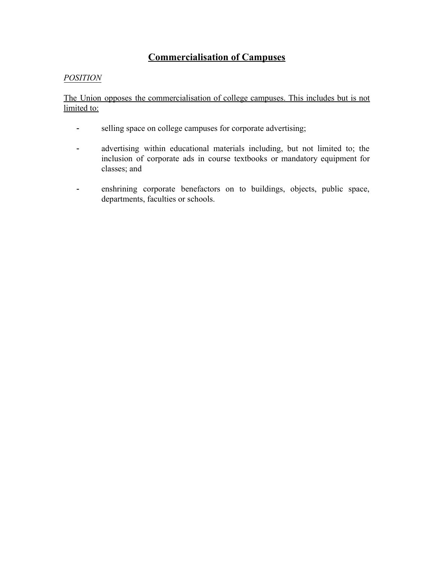# **Commercialisation of Campuses**

# *POSITION*

The Union opposes the commercialisation of college campuses. This includes but is not limited to:

- selling space on college campuses for corporate advertising;
- advertising within educational materials including, but not limited to; the inclusion of corporate ads in course textbooks or mandatory equipment for classes; and
- enshrining corporate benefactors on to buildings, objects, public space, departments, faculties or schools.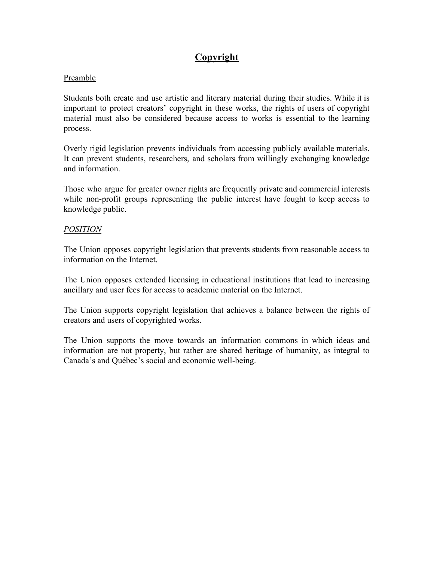# **Copyright**

## Preamble

Students both create and use artistic and literary material during their studies. While it is important to protect creators' copyright in these works, the rights of users of copyright material must also be considered because access to works is essential to the learning process.

Overly rigid legislation prevents individuals from accessing publicly available materials. It can prevent students, researchers, and scholars from willingly exchanging knowledge and information.

Those who argue for greater owner rights are frequently private and commercial interests while non-profit groups representing the public interest have fought to keep access to knowledge public.

## *POSITION*

The Union opposes copyright legislation that prevents students from reasonable access to information on the Internet.

The Union opposes extended licensing in educational institutions that lead to increasing ancillary and user fees for access to academic material on the Internet.

The Union supports copyright legislation that achieves a balance between the rights of creators and users of copyrighted works.

The Union supports the move towards an information commons in which ideas and information are not property, but rather are shared heritage of humanity, as integral to Canada's and Québec's social and economic well-being.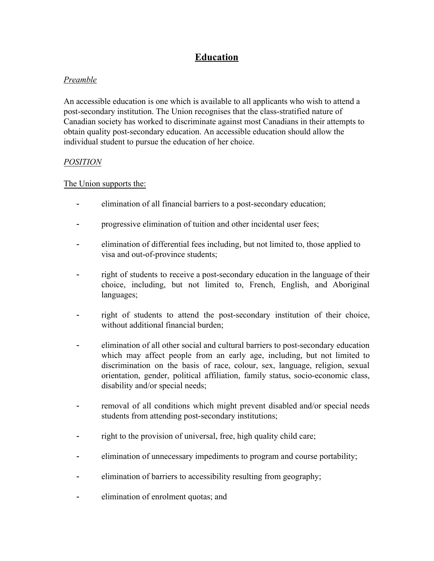# **Education**

# *Preamble*

An accessible education is one which is available to all applicants who wish to attend a post-secondary institution. The Union recognises that the class-stratified nature of Canadian society has worked to discriminate against most Canadians in their attempts to obtain quality post-secondary education. An accessible education should allow the individual student to pursue the education of her choice.

# *POSITION*

## The Union supports the:

- elimination of all financial barriers to a post-secondary education;
- progressive elimination of tuition and other incidental user fees;
- elimination of differential fees including, but not limited to, those applied to visa and out-of-province students;
- right of students to receive a post-secondary education in the language of their choice, including, but not limited to, French, English, and Aboriginal languages;
- right of students to attend the post-secondary institution of their choice, without additional financial burden;
- elimination of all other social and cultural barriers to post-secondary education which may affect people from an early age, including, but not limited to discrimination on the basis of race, colour, sex, language, religion, sexual orientation, gender, political affiliation, family status, socio-economic class, disability and/or special needs;
- removal of all conditions which might prevent disabled and/or special needs students from attending post-secondary institutions;
- right to the provision of universal, free, high quality child care;
- elimination of unnecessary impediments to program and course portability;
- elimination of barriers to accessibility resulting from geography;
- elimination of enrolment quotas; and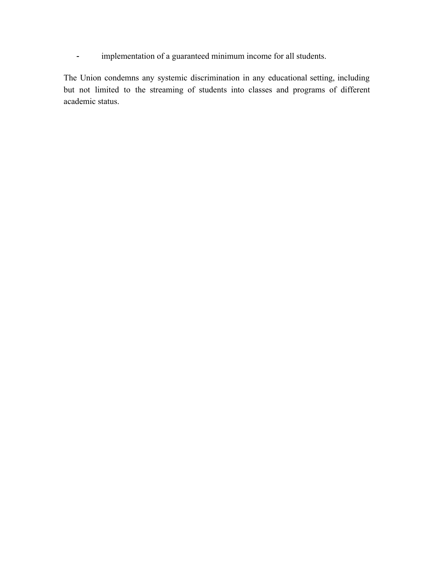- implementation of a guaranteed minimum income for all students.

<span id="page-12-0"></span>The Union condemns any systemic discrimination in any educational setting, including but not limited to the streaming of students into classes and programs of different academic status.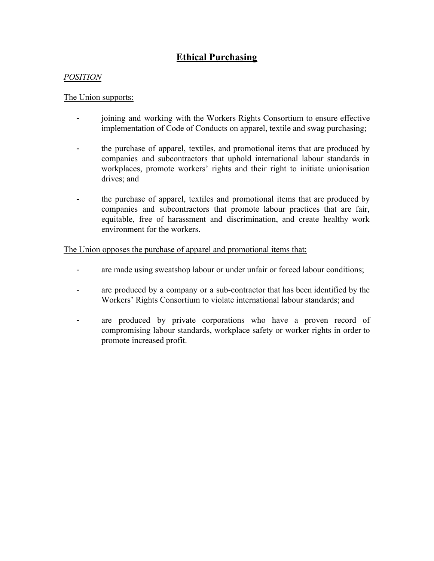# **Ethical Purchasing**

## *POSITION*

#### The Union supports:

- joining and working with the Workers Rights Consortium to ensure effective implementation of Code of Conducts on apparel, textile and swag purchasing;
- the purchase of apparel, textiles, and promotional items that are produced by companies and subcontractors that uphold international labour standards in workplaces, promote workers' rights and their right to initiate unionisation drives; and
- the purchase of apparel, textiles and promotional items that are produced by companies and subcontractors that promote labour practices that are fair, equitable, free of harassment and discrimination, and create healthy work environment for the workers.

The Union opposes the purchase of apparel and promotional items that:

- are made using sweatshop labour or under unfair or forced labour conditions;
- are produced by a company or a sub-contractor that has been identified by the Workers' Rights Consortium to violate international labour standards; and
- <span id="page-13-0"></span>- are produced by private corporations who have a proven record of compromising labour standards, workplace safety or worker rights in order to promote increased profit.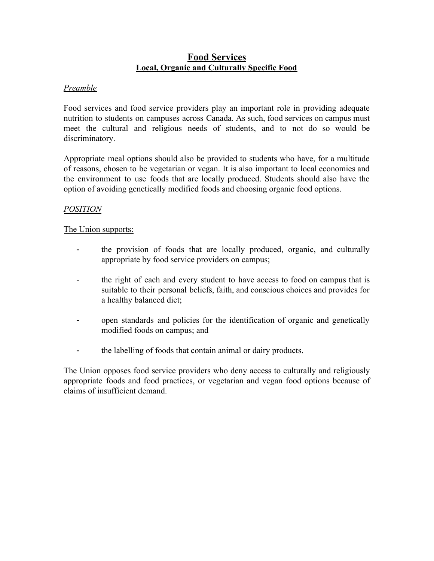# **Food Services Local, Organic and Culturally Specific Food**

## <span id="page-14-0"></span>*Preamble*

Food services and food service providers play an important role in providing adequate nutrition to students on campuses across Canada. As such, food services on campus must meet the cultural and religious needs of students, and to not do so would be discriminatory.

Appropriate meal options should also be provided to students who have, for a multitude of reasons, chosen to be vegetarian or vegan. It is also important to local economies and the environment to use foods that are locally produced. Students should also have the option of avoiding genetically modified foods and choosing organic food options.

# *POSITION*

## The Union supports:

- the provision of foods that are locally produced, organic, and culturally appropriate by food service providers on campus;
- the right of each and every student to have access to food on campus that is suitable to their personal beliefs, faith, and conscious choices and provides for a healthy balanced diet;
- open standards and policies for the identification of organic and genetically modified foods on campus; and
- the labelling of foods that contain animal or dairy products.

<span id="page-14-1"></span>The Union opposes food service providers who deny access to culturally and religiously appropriate foods and food practices, or vegetarian and vegan food options because of claims of insufficient demand.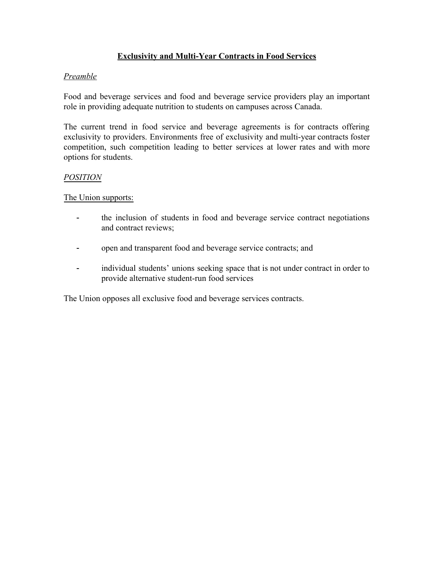# **Exclusivity and Multi-Year Contracts in Food Services**

# *Preamble*

Food and beverage services and food and beverage service providers play an important role in providing adequate nutrition to students on campuses across Canada.

The current trend in food service and beverage agreements is for contracts offering exclusivity to providers. Environments free of exclusivity and multi-year contracts foster competition, such competition leading to better services at lower rates and with more options for students.

# *POSITION*

The Union supports:

- the inclusion of students in food and beverage service contract negotiations and contract reviews;
- open and transparent food and beverage service contracts; and
- individual students' unions seeking space that is not under contract in order to provide alternative student-run food services

<span id="page-15-0"></span>The Union opposes all exclusive food and beverage services contracts.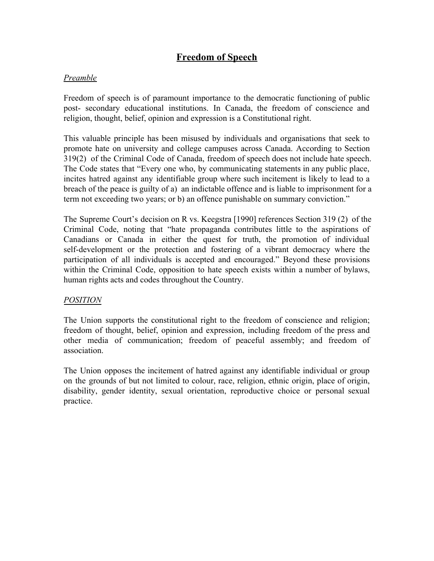# **Freedom of Speech**

# *Preamble*

Freedom of speech is of paramount importance to the democratic functioning of public post- secondary educational institutions. In Canada, the freedom of conscience and religion, thought, belief, opinion and expression is a Constitutional right.

This valuable principle has been misused by individuals and organisations that seek to promote hate on university and college campuses across Canada. According to Section 319(2) of the Criminal Code of Canada, freedom of speech does not include hate speech. The Code states that "Every one who, by communicating statements in any public place, incites hatred against any identifiable group where such incitement is likely to lead to a breach of the peace is guilty of a) an indictable offence and is liable to imprisonment for a term not exceeding two years; or b) an offence punishable on summary conviction."

The Supreme Court's decision on R vs. Keegstra [1990] references Section 319 (2) of the Criminal Code, noting that "hate propaganda contributes little to the aspirations of Canadians or Canada in either the quest for truth, the promotion of individual self-development or the protection and fostering of a vibrant democracy where the participation of all individuals is accepted and encouraged." Beyond these provisions within the Criminal Code, opposition to hate speech exists within a number of bylaws, human rights acts and codes throughout the Country.

# *POSITION*

The Union supports the constitutional right to the freedom of conscience and religion; freedom of thought, belief, opinion and expression, including freedom of the press and other media of communication; freedom of peaceful assembly; and freedom of association.

<span id="page-16-0"></span>The Union opposes the incitement of hatred against any identifiable individual or group on the grounds of but not limited to colour, race, religion, ethnic origin, place of origin, disability, gender identity, sexual orientation, reproductive choice or personal sexual practice.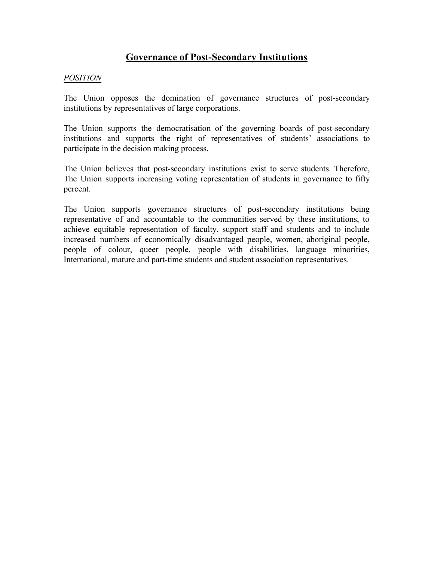# **Governance of Post-Secondary Institutions**

#### *POSITION*

The Union opposes the domination of governance structures of post-secondary institutions by representatives of large corporations.

The Union supports the democratisation of the governing boards of post-secondary institutions and supports the right of representatives of students' associations to participate in the decision making process.

The Union believes that post-secondary institutions exist to serve students. Therefore, The Union supports increasing voting representation of students in governance to fifty percent.

<span id="page-17-0"></span>The Union supports governance structures of post-secondary institutions being representative of and accountable to the communities served by these institutions, to achieve equitable representation of faculty, support staff and students and to include increased numbers of economically disadvantaged people, women, aboriginal people, people of colour, queer people, people with disabilities, language minorities, International, mature and part-time students and student association representatives.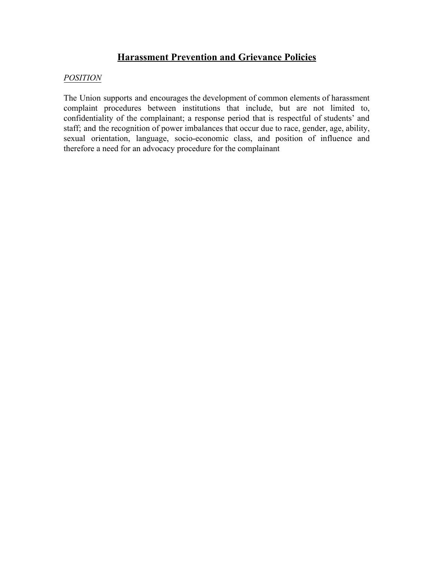# **Harassment Prevention and Grievance Policies**

#### *POSITION*

<span id="page-18-0"></span>The Union supports and encourages the development of common elements of harassment complaint procedures between institutions that include, but are not limited to, confidentiality of the complainant; a response period that is respectful of students' and staff; and the recognition of power imbalances that occur due to race, gender, age, ability, sexual orientation, language, socio-economic class, and position of influence and therefore a need for an advocacy procedure for the complainant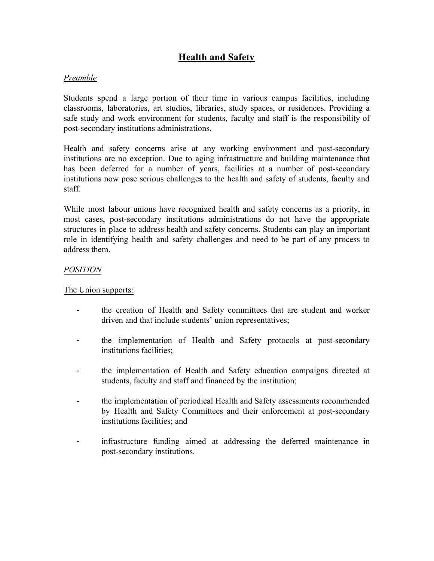# **Health and Safety**

## *Preamble*

Students spend a large portion of their time in various campus facilities, including classrooms, laboratories, art studios, libraries, study spaces, or residences. Providing a safe study and work environment for students, faculty and staff is the responsibility of post-secondary institutions administrations.

Health and safety concerns arise at any working environment and post-secondary institutions are no exception. Due to aging infrastructure and building maintenance that has been deferred for a number of years, facilities at a number of post-secondary institutions now pose serious challenges to the health and safety of students, faculty and staff.

While most labour unions have recognized health and safety concerns as a priority, in most cases, post-secondary institutions administrations do not have the appropriate structures in place to address health and safety concerns. Students can play an important role in identifying health and safety challenges and need to be part of any process to address them.

#### *POSITION*

The Union supports:

- the creation of Health and Safety committees that are student and worker driven and that include students' union representatives;
- the implementation of Health and Safety protocols at post-secondary institutions facilities;
- the implementation of Health and Safety education campaigns directed at students, faculty and staff and financed by the institution;
- the implementation of periodical Health and Safety assessments recommended by Health and Safety Committees and their enforcement at post-secondary institutions facilities; and
- infrastructure funding aimed at addressing the deferred maintenance in post-secondary institutions.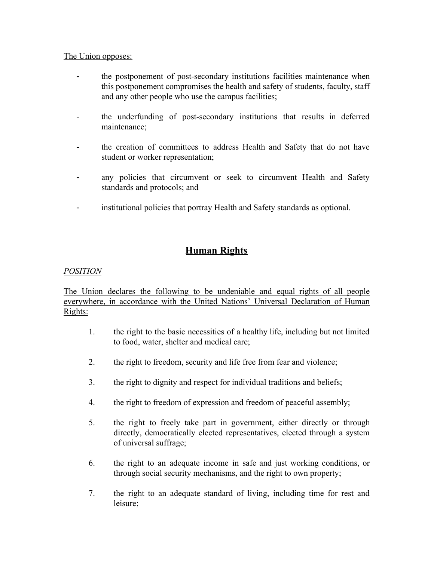#### The Union opposes:

- the postponement of post-secondary institutions facilities maintenance when this postponement compromises the health and safety of students, faculty, staff and any other people who use the campus facilities;
- the underfunding of post-secondary institutions that results in deferred maintenance;
- the creation of committees to address Health and Safety that do not have student or worker representation;
- any policies that circumvent or seek to circumvent Health and Safety standards and protocols; and
- <span id="page-20-0"></span>- institutional policies that portray Health and Safety standards as optional.

# **Human Rights**

# *POSITION*

The Union declares the following to be undeniable and equal rights of all people everywhere, in accordance with the United Nations' Universal Declaration of Human Rights:

- 1. the right to the basic necessities of a healthy life, including but not limited to food, water, shelter and medical care;
- 2. the right to freedom, security and life free from fear and violence;
- 3. the right to dignity and respect for individual traditions and beliefs;
- 4. the right to freedom of expression and freedom of peaceful assembly;
- 5. the right to freely take part in government, either directly or through directly, democratically elected representatives, elected through a system of universal suffrage;
- 6. the right to an adequate income in safe and just working conditions, or through social security mechanisms, and the right to own property;
- 7. the right to an adequate standard of living, including time for rest and leisure;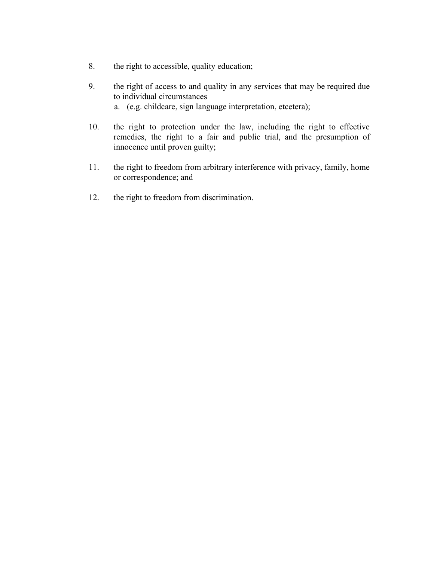- 8. the right to accessible, quality education;
- 9. the right of access to and quality in any services that may be required due to individual circumstances a. (e.g. childcare, sign language interpretation, etcetera);
- 10. the right to protection under the law, including the right to effective remedies, the right to a fair and public trial, and the presumption of innocence until proven guilty;
- 11. the right to freedom from arbitrary interference with privacy, family, home or correspondence; and
- <span id="page-21-0"></span>12. the right to freedom from discrimination.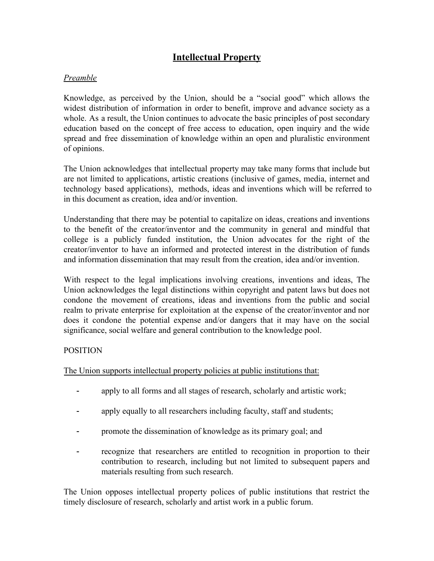# **Intellectual Property**

## *Preamble*

Knowledge, as perceived by the Union, should be a "social good" which allows the widest distribution of information in order to benefit, improve and advance society as a whole. As a result, the Union continues to advocate the basic principles of post secondary education based on the concept of free access to education, open inquiry and the wide spread and free dissemination of knowledge within an open and pluralistic environment of opinions.

The Union acknowledges that intellectual property may take many forms that include but are not limited to applications, artistic creations (inclusive of games, media, internet and technology based applications), methods, ideas and inventions which will be referred to in this document as creation, idea and/or invention.

Understanding that there may be potential to capitalize on ideas, creations and inventions to the benefit of the creator/inventor and the community in general and mindful that college is a publicly funded institution, the Union advocates for the right of the creator/inventor to have an informed and protected interest in the distribution of funds and information dissemination that may result from the creation, idea and/or invention.

With respect to the legal implications involving creations, inventions and ideas, The Union acknowledges the legal distinctions within copyright and patent laws but does not condone the movement of creations, ideas and inventions from the public and social realm to private enterprise for exploitation at the expense of the creator/inventor and nor does it condone the potential expense and/or dangers that it may have on the social significance, social welfare and general contribution to the knowledge pool.

## POSITION

The Union supports intellectual property policies at public institutions that:

- apply to all forms and all stages of research, scholarly and artistic work;
- apply equally to all researchers including faculty, staff and students;
- promote the dissemination of knowledge as its primary goal; and
- recognize that researchers are entitled to recognition in proportion to their contribution to research, including but not limited to subsequent papers and materials resulting from such research.

The Union opposes intellectual property polices of public institutions that restrict the timely disclosure of research, scholarly and artist work in a public forum.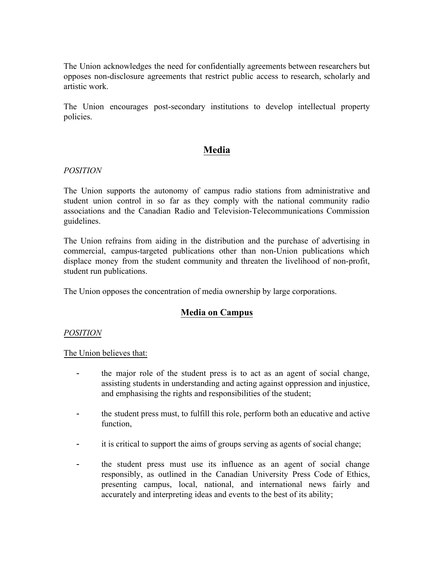The Union acknowledges the need for confidentially agreements between researchers but opposes non-disclosure agreements that restrict public access to research, scholarly and artistic work.

<span id="page-23-0"></span>The Union encourages post-secondary institutions to develop intellectual property policies.

# **Media**

#### *POSITION*

The Union supports the autonomy of campus radio stations from administrative and student union control in so far as they comply with the national community radio associations and the Canadian Radio and Television-Telecommunications Commission guidelines.

The Union refrains from aiding in the distribution and the purchase of advertising in commercial, campus-targeted publications other than non-Union publications which displace money from the student community and threaten the livelihood of non-profit, student run publications.

<span id="page-23-1"></span>The Union opposes the concentration of media ownership by large corporations.

# **Media on Campus**

## *POSITION*

The Union believes that:

- the major role of the student press is to act as an agent of social change, assisting students in understanding and acting against oppression and injustice, and emphasising the rights and responsibilities of the student;
- the student press must, to fulfill this role, perform both an educative and active function,
- it is critical to support the aims of groups serving as agents of social change;
- the student press must use its influence as an agent of social change responsibly, as outlined in the Canadian University Press Code of Ethics, presenting campus, local, national, and international news fairly and accurately and interpreting ideas and events to the best of its ability;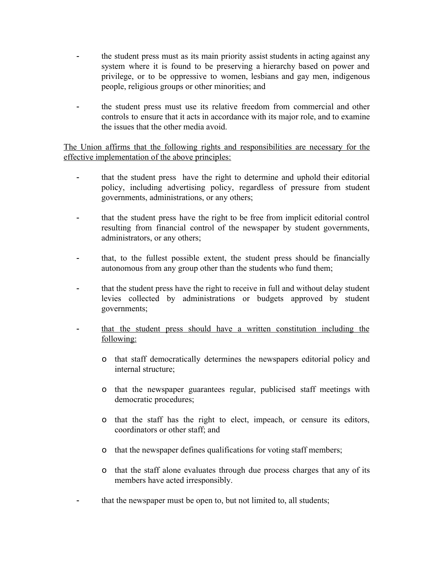- the student press must as its main priority assist students in acting against any system where it is found to be preserving a hierarchy based on power and privilege, or to be oppressive to women, lesbians and gay men, indigenous people, religious groups or other minorities; and
- the student press must use its relative freedom from commercial and other controls to ensure that it acts in accordance with its major role, and to examine the issues that the other media avoid.

The Union affirms that the following rights and responsibilities are necessary for the effective implementation of the above principles:

- that the student press have the right to determine and uphold their editorial policy, including advertising policy, regardless of pressure from student governments, administrations, or any others;
- that the student press have the right to be free from implicit editorial control resulting from financial control of the newspaper by student governments, administrators, or any others;
- that, to the fullest possible extent, the student press should be financially autonomous from any group other than the students who fund them;
- that the student press have the right to receive in full and without delay student levies collected by administrations or budgets approved by student governments;
- that the student press should have a written constitution including the following:
	- o that staff democratically determines the newspapers editorial policy and internal structure;
	- o that the newspaper guarantees regular, publicised staff meetings with democratic procedures;
	- o that the staff has the right to elect, impeach, or censure its editors, coordinators or other staff; and
	- o that the newspaper defines qualifications for voting staff members;
	- o that the staff alone evaluates through due process charges that any of its members have acted irresponsibly.
- that the newspaper must be open to, but not limited to, all students;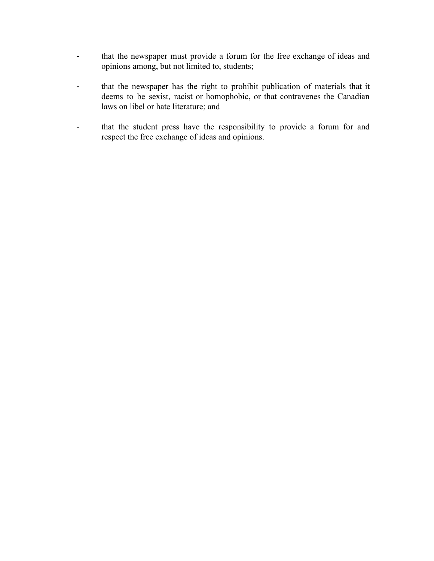- that the newspaper must provide a forum for the free exchange of ideas and opinions among, but not limited to, students;
- that the newspaper has the right to prohibit publication of materials that it deems to be sexist, racist or homophobic, or that contravenes the Canadian laws on libel or hate literature; and
- <span id="page-25-0"></span>- that the student press have the responsibility to provide a forum for and respect the free exchange of ideas and opinions.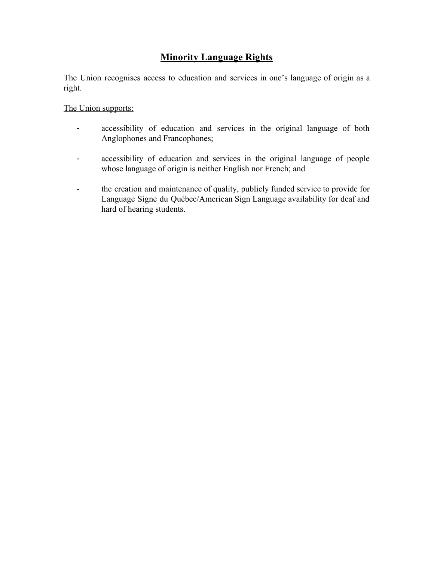# **Minority Language Rights**

The Union recognises access to education and services in one's language of origin as a right.

## The Union supports:

- accessibility of education and services in the original language of both Anglophones and Francophones;
- accessibility of education and services in the original language of people whose language of origin is neither English nor French; and
- <span id="page-26-0"></span>- the creation and maintenance of quality, publicly funded service to provide for Language Signe du Québec/American Sign Language availability for deaf and hard of hearing students.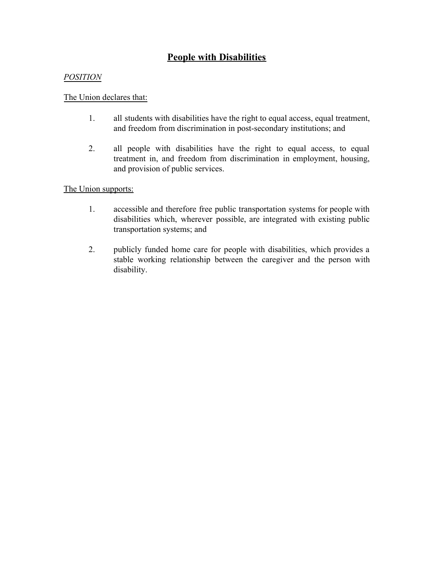# **People with Disabilities**

## *POSITION*

# The Union declares that:

- 1. all students with disabilities have the right to equal access, equal treatment, and freedom from discrimination in post-secondary institutions; and
- 2. all people with disabilities have the right to equal access, to equal treatment in, and freedom from discrimination in employment, housing, and provision of public services.

## The Union supports:

- 1. accessible and therefore free public transportation systems for people with disabilities which, wherever possible, are integrated with existing public transportation systems; and
- <span id="page-27-0"></span>2. publicly funded home care for people with disabilities, which provides a stable working relationship between the caregiver and the person with disability.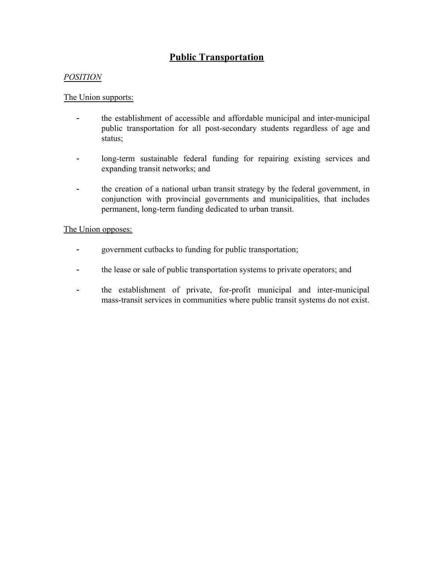# **Public Transportation**

#### *POSITION*

#### The Union supports:

- the establishment of accessible and affordable municipal and inter-municipal public transportation for all post-secondary students regardless of age and status;
- long-term sustainable federal funding for repairing existing services and expanding transit networks; and
- the creation of a national urban transit strategy by the federal government, in conjunction with provincial governments and municipalities, that includes permanent, long-term funding dedicated to urban transit.

#### The Union opposes:

- government cutbacks to funding for public transportation;
- the lease or sale of public transportation systems to private operators; and
- <span id="page-28-0"></span>- the establishment of private, for-profit municipal and inter-municipal mass-transit services in communities where public transit systems do not exist.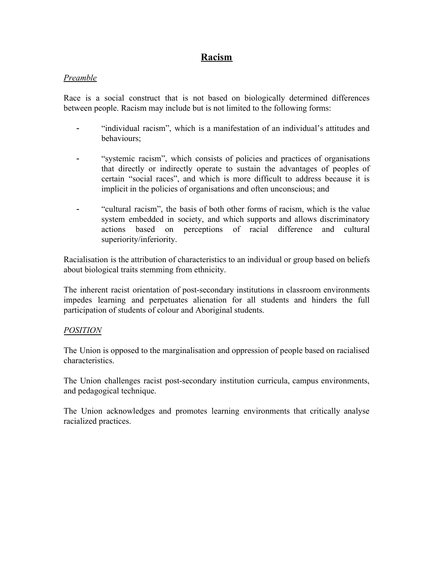# **Racism**

#### *Preamble*

Race is a social construct that is not based on biologically determined differences between people. Racism may include but is not limited to the following forms:

- "individual racism", which is a manifestation of an individual's attitudes and behaviours;
- "systemic racism", which consists of policies and practices of organisations that directly or indirectly operate to sustain the advantages of peoples of certain "social races", and which is more difficult to address because it is implicit in the policies of organisations and often unconscious; and
- "cultural racism", the basis of both other forms of racism, which is the value system embedded in society, and which supports and allows discriminatory actions based on perceptions of racial difference and cultural superiority/inferiority.

Racialisation is the attribution of characteristics to an individual or group based on beliefs about biological traits stemming from ethnicity.

The inherent racist orientation of post-secondary institutions in classroom environments impedes learning and perpetuates alienation for all students and hinders the full participation of students of colour and Aboriginal students.

## *POSITION*

The Union is opposed to the marginalisation and oppression of people based on racialised characteristics.

The Union challenges racist post-secondary institution curricula, campus environments, and pedagogical technique.

<span id="page-29-0"></span>The Union acknowledges and promotes learning environments that critically analyse racialized practices.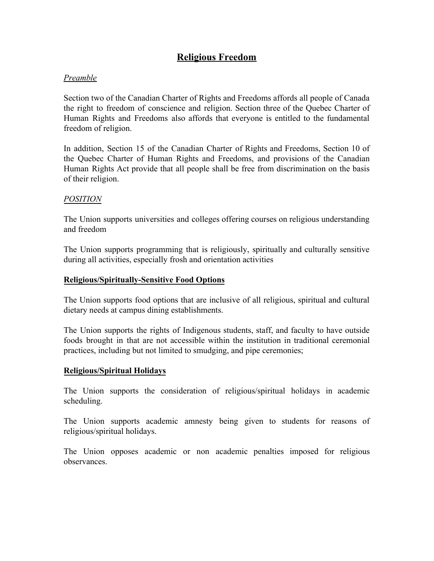# **Religious Freedom**

# *Preamble*

Section two of the Canadian Charter of Rights and Freedoms affords all people of Canada the right to freedom of conscience and religion. Section three of the Quebec Charter of Human Rights and Freedoms also affords that everyone is entitled to the fundamental freedom of religion.

In addition, Section 15 of the Canadian Charter of Rights and Freedoms, Section 10 of the Quebec Charter of Human Rights and Freedoms, and provisions of the Canadian Human Rights Act provide that all people shall be free from discrimination on the basis of their religion.

## *POSITION*

The Union supports universities and colleges offering courses on religious understanding and freedom

The Union supports programming that is religiously, spiritually and culturally sensitive during all activities, especially frosh and orientation activities

## <span id="page-30-0"></span>**Religious/Spiritually-Sensitive Food Options**

The Union supports food options that are inclusive of all religious, spiritual and cultural dietary needs at campus dining establishments.

The Union supports the rights of Indigenous students, staff, and faculty to have outside foods brought in that are not accessible within the institution in traditional ceremonial practices, including but not limited to smudging, and pipe ceremonies;

## <span id="page-30-1"></span>**Religious/Spiritual Holidays**

The Union supports the consideration of religious/spiritual holidays in academic scheduling.

The Union supports academic amnesty being given to students for reasons of religious/spiritual holidays.

<span id="page-30-2"></span>The Union opposes academic or non academic penalties imposed for religious observances.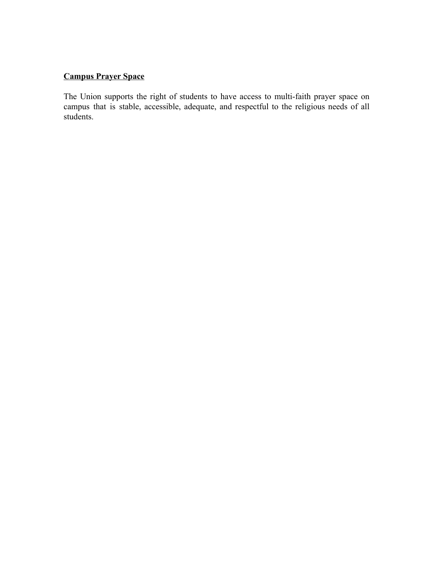# **Campus Prayer Space**

<span id="page-31-0"></span>The Union supports the right of students to have access to multi-faith prayer space on campus that is stable, accessible, adequate, and respectful to the religious needs of all students.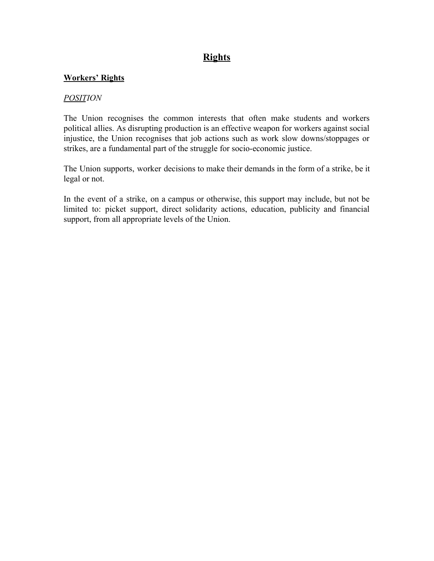# **Rights**

#### <span id="page-32-0"></span>**Workers' Rights**

#### *POSITION*

The Union recognises the common interests that often make students and workers political allies. As disrupting production is an effective weapon for workers against social injustice, the Union recognises that job actions such as work slow downs/stoppages or strikes, are a fundamental part of the struggle for socio-economic justice.

The Union supports, worker decisions to make their demands in the form of a strike, be it legal or not.

<span id="page-32-1"></span>In the event of a strike, on a campus or otherwise, this support may include, but not be limited to: picket support, direct solidarity actions, education, publicity and financial support, from all appropriate levels of the Union.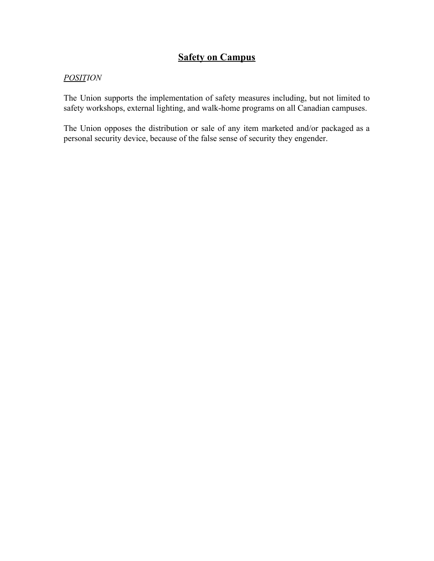# **Safety on Campus**

## *POSITION*

The Union supports the implementation of safety measures including, but not limited to safety workshops, external lighting, and walk-home programs on all Canadian campuses.

<span id="page-33-0"></span>The Union opposes the distribution or sale of any item marketed and/or packaged as a personal security device, because of the false sense of security they engender.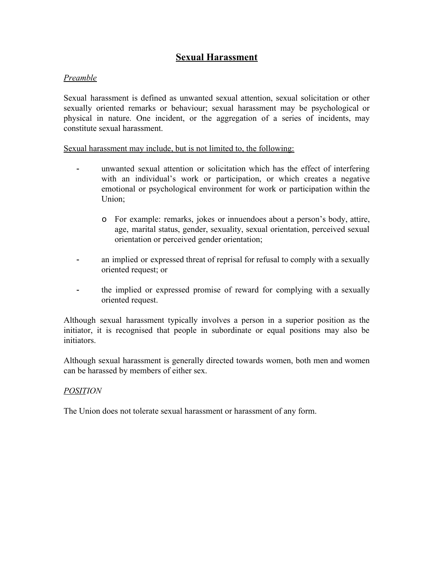# **Sexual Harassment**

## *Preamble*

Sexual harassment is defined as unwanted sexual attention, sexual solicitation or other sexually oriented remarks or behaviour; sexual harassment may be psychological or physical in nature. One incident, or the aggregation of a series of incidents, may constitute sexual harassment.

Sexual harassment may include, but is not limited to, the following:

- unwanted sexual attention or solicitation which has the effect of interfering with an individual's work or participation, or which creates a negative emotional or psychological environment for work or participation within the Union;
	- o For example: remarks, jokes or innuendoes about a person's body, attire, age, marital status, gender, sexuality, sexual orientation, perceived sexual orientation or perceived gender orientation;
- an implied or expressed threat of reprisal for refusal to comply with a sexually oriented request; or
- the implied or expressed promise of reward for complying with a sexually oriented request.

Although sexual harassment typically involves a person in a superior position as the initiator, it is recognised that people in subordinate or equal positions may also be initiators.

Although sexual harassment is generally directed towards women, both men and women can be harassed by members of either sex.

## *POSITION*

<span id="page-34-0"></span>The Union does not tolerate sexual harassment or harassment of any form.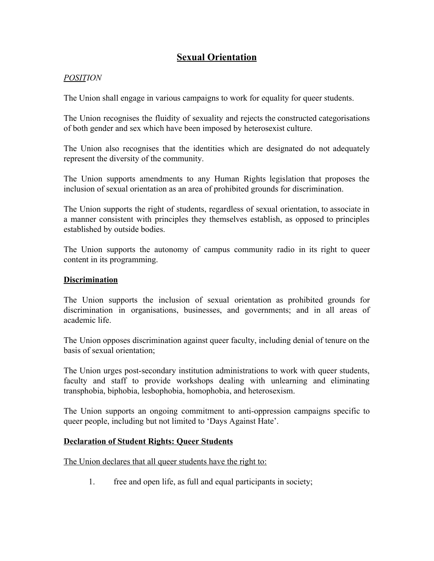# **Sexual Orientation**

## *POSITION*

The Union shall engage in various campaigns to work for equality for queer students.

The Union recognises the fluidity of sexuality and rejects the constructed categorisations of both gender and sex which have been imposed by heterosexist culture.

The Union also recognises that the identities which are designated do not adequately represent the diversity of the community.

The Union supports amendments to any Human Rights legislation that proposes the inclusion of sexual orientation as an area of prohibited grounds for discrimination.

The Union supports the right of students, regardless of sexual orientation, to associate in a manner consistent with principles they themselves establish, as opposed to principles established by outside bodies.

The Union supports the autonomy of campus community radio in its right to queer content in its programming.

#### <span id="page-35-0"></span>**Discrimination**

The Union supports the inclusion of sexual orientation as prohibited grounds for discrimination in organisations, businesses, and governments; and in all areas of academic life.

The Union opposes discrimination against queer faculty, including denial of tenure on the basis of sexual orientation;

The Union urges post-secondary institution administrations to work with queer students, faculty and staff to provide workshops dealing with unlearning and eliminating transphobia, biphobia, lesbophobia, homophobia, and heterosexism.

The Union supports an ongoing commitment to anti-oppression campaigns specific to queer people, including but not limited to 'Days Against Hate'.

## <span id="page-35-1"></span>**Declaration of Student Rights: Queer Students**

The Union declares that all queer students have the right to:

1. free and open life, as full and equal participants in society;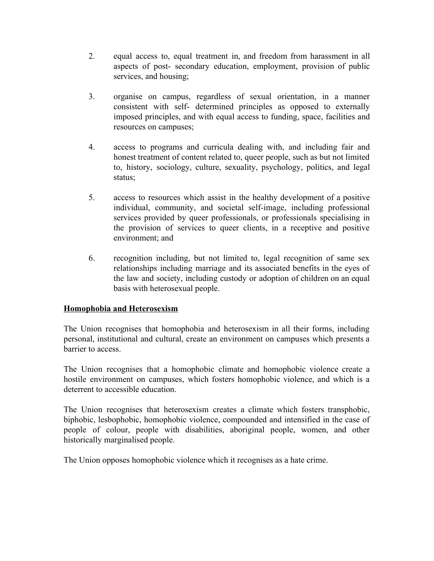- 2. equal access to, equal treatment in, and freedom from harassment in all aspects of post- secondary education, employment, provision of public services, and housing;
- 3. organise on campus, regardless of sexual orientation, in a manner consistent with self- determined principles as opposed to externally imposed principles, and with equal access to funding, space, facilities and resources on campuses;
- 4. access to programs and curricula dealing with, and including fair and honest treatment of content related to, queer people, such as but not limited to, history, sociology, culture, sexuality, psychology, politics, and legal status;
- 5. access to resources which assist in the healthy development of a positive individual, community, and societal self-image, including professional services provided by queer professionals, or professionals specialising in the provision of services to queer clients, in a receptive and positive environment; and
- 6. recognition including, but not limited to, legal recognition of same sex relationships including marriage and its associated benefits in the eyes of the law and society, including custody or adoption of children on an equal basis with heterosexual people.

## <span id="page-36-0"></span>**Homophobia and Heterosexism**

The Union recognises that homophobia and heterosexism in all their forms, including personal, institutional and cultural, create an environment on campuses which presents a barrier to access.

The Union recognises that a homophobic climate and homophobic violence create a hostile environment on campuses, which fosters homophobic violence, and which is a deterrent to accessible education.

The Union recognises that heterosexism creates a climate which fosters transphobic, biphobic, lesbophobic, homophobic violence, compounded and intensified in the case of people of colour, people with disabilities, aboriginal people, women, and other historically marginalised people.

<span id="page-36-1"></span>The Union opposes homophobic violence which it recognises as a hate crime.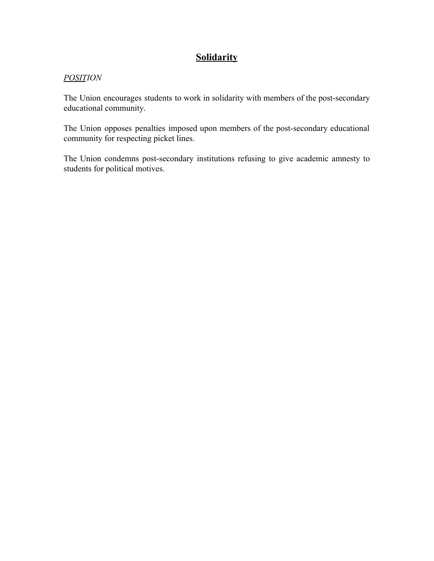# **Solidarity**

## *POSITION*

The Union encourages students to work in solidarity with members of the post-secondary educational community.

The Union opposes penalties imposed upon members of the post-secondary educational community for respecting picket lines.

<span id="page-37-0"></span>The Union condemns post-secondary institutions refusing to give academic amnesty to students for political motives.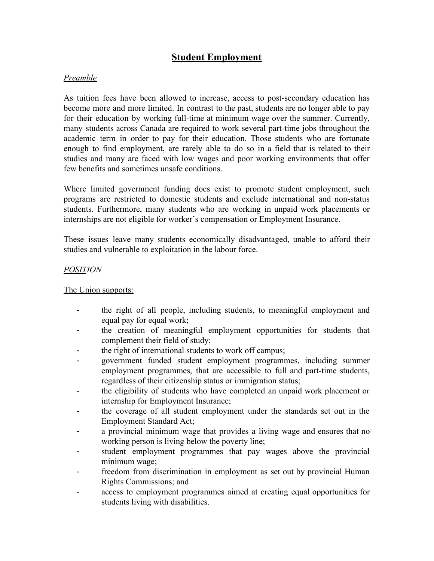# **Student Employment**

## *Preamble*

As tuition fees have been allowed to increase, access to post-secondary education has become more and more limited. In contrast to the past, students are no longer able to pay for their education by working full-time at minimum wage over the summer. Currently, many students across Canada are required to work several part-time jobs throughout the academic term in order to pay for their education. Those students who are fortunate enough to find employment, are rarely able to do so in a field that is related to their studies and many are faced with low wages and poor working environments that offer few benefits and sometimes unsafe conditions.

Where limited government funding does exist to promote student employment, such programs are restricted to domestic students and exclude international and non-status students. Furthermore, many students who are working in unpaid work placements or internships are not eligible for worker's compensation or Employment Insurance.

These issues leave many students economically disadvantaged, unable to afford their studies and vulnerable to exploitation in the labour force.

#### *POSITION*

The Union supports:

- the right of all people, including students, to meaningful employment and equal pay for equal work;
- the creation of meaningful employment opportunities for students that complement their field of study;
- the right of international students to work off campus;
- government funded student employment programmes, including summer employment programmes, that are accessible to full and part-time students, regardless of their citizenship status or immigration status;
- the eligibility of students who have completed an unpaid work placement or internship for Employment Insurance;
- the coverage of all student employment under the standards set out in the Employment Standard Act;
- a provincial minimum wage that provides a living wage and ensures that no working person is living below the poverty line;
- student employment programmes that pay wages above the provincial minimum wage;
- freedom from discrimination in employment as set out by provincial Human Rights Commissions; and
- access to employment programmes aimed at creating equal opportunities for students living with disabilities.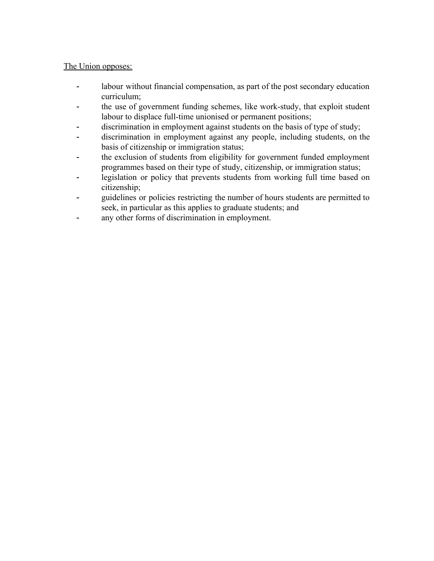## The Union opposes:

- labour without financial compensation, as part of the post secondary education curriculum;
- the use of government funding schemes, like work-study, that exploit student labour to displace full-time unionised or permanent positions;
- discrimination in employment against students on the basis of type of study;
- discrimination in employment against any people, including students, on the basis of citizenship or immigration status;
- the exclusion of students from eligibility for government funded employment programmes based on their type of study, citizenship, or immigration status;
- legislation or policy that prevents students from working full time based on citizenship;
- guidelines or policies restricting the number of hours students are permitted to seek, in particular as this applies to graduate students; and
- <span id="page-39-0"></span>- any other forms of discrimination in employment.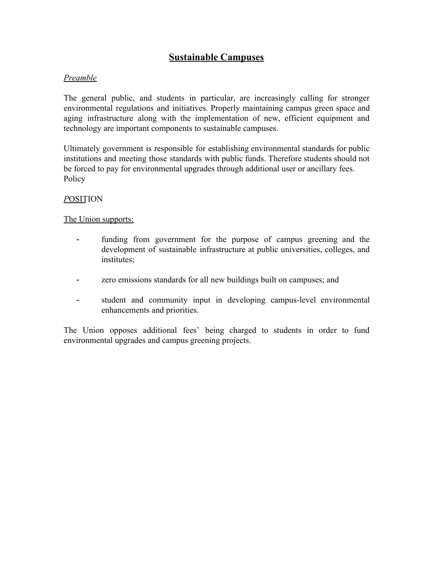# **Sustainable Campuses**

## *Preamble*

The general public, and students in particular, are increasingly calling for stronger environmental regulations and initiatives. Properly maintaining campus green space and aging infrastructure along with the implementation of new, efficient equipment and technology are important components to sustainable campuses.

Ultimately government is responsible for establishing environmental standards for public institutions and meeting those standards with public funds. Therefore students should not be forced to pay for environmental upgrades through additional user or ancillary fees. Policy

#### *P*OSITION

#### The Union supports:

- funding from government for the purpose of campus greening and the development of sustainable infrastructure at public universities, colleges, and institutes;
- zero emissions standards for all new buildings built on campuses; and
- student and community input in developing campus-level environmental enhancements and priorities.

<span id="page-40-0"></span>The Union opposes additional fees' being charged to students in order to fund environmental upgrades and campus greening projects.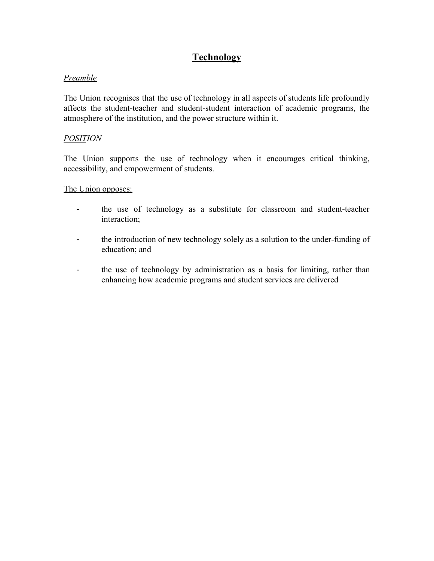# **Technology**

#### *Preamble*

The Union recognises that the use of technology in all aspects of students life profoundly affects the student-teacher and student-student interaction of academic programs, the atmosphere of the institution, and the power structure within it.

#### *POSITION*

The Union supports the use of technology when it encourages critical thinking, accessibility, and empowerment of students.

The Union opposes:

- the use of technology as a substitute for classroom and student-teacher interaction;
- the introduction of new technology solely as a solution to the under-funding of education; and
- <span id="page-41-0"></span>- the use of technology by administration as a basis for limiting, rather than enhancing how academic programs and student services are delivered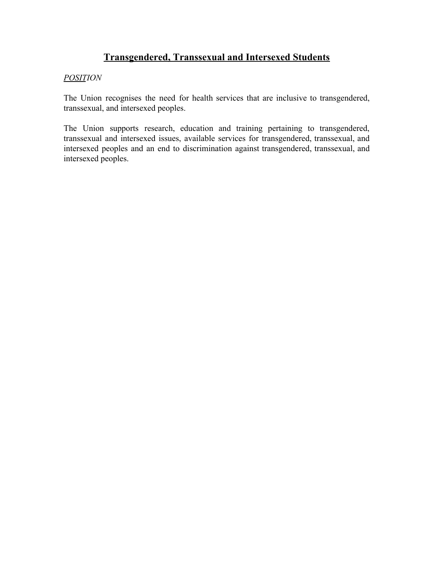# **Transgendered, Transsexual and Intersexed Students**

## *POSITION*

The Union recognises the need for health services that are inclusive to transgendered, transsexual, and intersexed peoples.

<span id="page-42-0"></span>The Union supports research, education and training pertaining to transgendered, transsexual and intersexed issues, available services for transgendered, transsexual, and intersexed peoples and an end to discrimination against transgendered, transsexual, and intersexed peoples.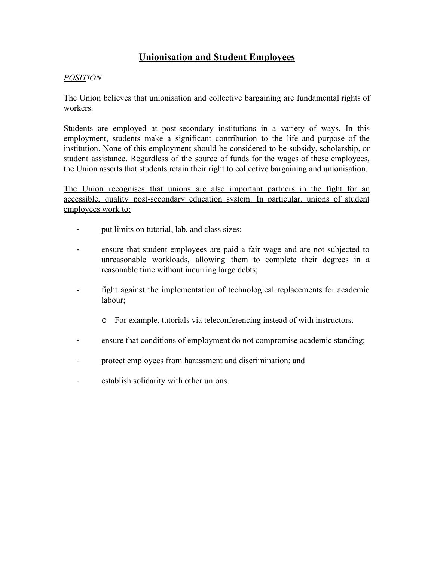# **Unionisation and Student Employees**

## *POSITION*

The Union believes that unionisation and collective bargaining are fundamental rights of workers.

Students are employed at post-secondary institutions in a variety of ways. In this employment, students make a significant contribution to the life and purpose of the institution. None of this employment should be considered to be subsidy, scholarship, or student assistance. Regardless of the source of funds for the wages of these employees, the Union asserts that students retain their right to collective bargaining and unionisation.

The Union recognises that unions are also important partners in the fight for an accessible, quality post-secondary education system. In particular, unions of student employees work to:

- put limits on tutorial, lab, and class sizes;
- ensure that student employees are paid a fair wage and are not subjected to unreasonable workloads, allowing them to complete their degrees in a reasonable time without incurring large debts;
- fight against the implementation of technological replacements for academic labour;
	- o For example, tutorials via teleconferencing instead of with instructors.
- ensure that conditions of employment do not compromise academic standing;
- protect employees from harassment and discrimination; and
- <span id="page-43-0"></span>- establish solidarity with other unions.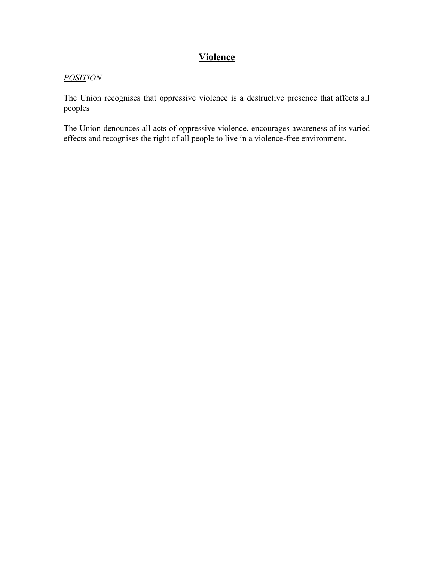# **Violence**

## *POSITION*

The Union recognises that oppressive violence is a destructive presence that affects all peoples

<span id="page-44-0"></span>The Union denounces all acts of oppressive violence, encourages awareness of its varied effects and recognises the right of all people to live in a violence-free environment.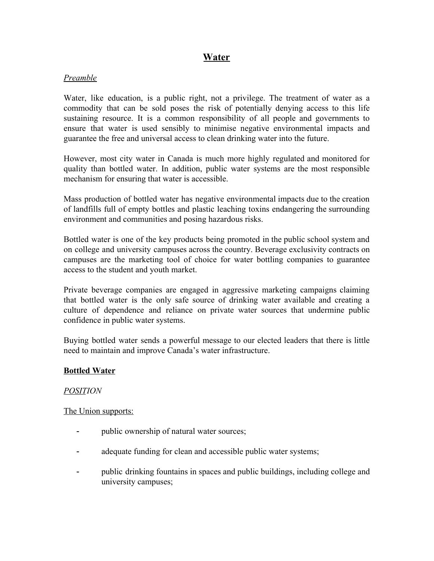# **Water**

## *Preamble*

Water, like education, is a public right, not a privilege. The treatment of water as a commodity that can be sold poses the risk of potentially denying access to this life sustaining resource. It is a common responsibility of all people and governments to ensure that water is used sensibly to minimise negative environmental impacts and guarantee the free and universal access to clean drinking water into the future.

However, most city water in Canada is much more highly regulated and monitored for quality than bottled water. In addition, public water systems are the most responsible mechanism for ensuring that water is accessible.

Mass production of bottled water has negative environmental impacts due to the creation of landfills full of empty bottles and plastic leaching toxins endangering the surrounding environment and communities and posing hazardous risks.

Bottled water is one of the key products being promoted in the public school system and on college and university campuses across the country. Beverage exclusivity contracts on campuses are the marketing tool of choice for water bottling companies to guarantee access to the student and youth market.

Private beverage companies are engaged in aggressive marketing campaigns claiming that bottled water is the only safe source of drinking water available and creating a culture of dependence and reliance on private water sources that undermine public confidence in public water systems.

Buying bottled water sends a powerful message to our elected leaders that there is little need to maintain and improve Canada's water infrastructure.

## <span id="page-45-0"></span>**Bottled Water**

#### *POSITION*

The Union supports:

- public ownership of natural water sources;
- adequate funding for clean and accessible public water systems;
- public drinking fountains in spaces and public buildings, including college and university campuses;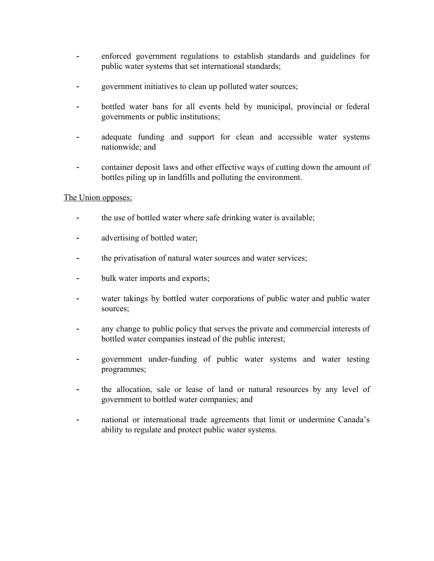- enforced government regulations to establish standards and guidelines for public water systems that set international standards;
- government initiatives to clean up polluted water sources;
- bottled water bans for all events held by municipal, provincial or federal governments or public institutions;
- adequate funding and support for clean and accessible water systems nationwide; and
- container deposit laws and other effective ways of cutting down the amount of bottles piling up in landfills and polluting the environment.

## The Union opposes:

- the use of bottled water where safe drinking water is available;
- advertising of bottled water;
- the privatisation of natural water sources and water services;
- bulk water imports and exports;
- water takings by bottled water corporations of public water and public water sources;
- any change to public policy that serves the private and commercial interests of bottled water companies instead of the public interest;
- government under-funding of public water systems and water testing programmes;
- the allocation, sale or lease of land or natural resources by any level of government to bottled water companies; and
- <span id="page-46-0"></span>- national or international trade agreements that limit or undermine Canada's ability to regulate and protect public water systems.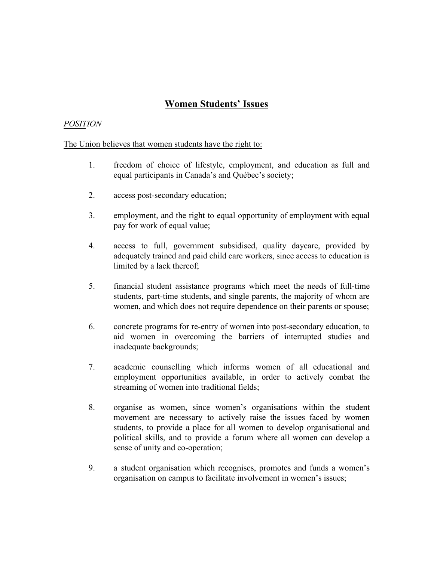# **Women Students' Issues**

#### *POSITION*

#### The Union believes that women students have the right to:

- 1. freedom of choice of lifestyle, employment, and education as full and equal participants in Canada's and Québec's society;
- 2. access post-secondary education;
- 3. employment, and the right to equal opportunity of employment with equal pay for work of equal value;
- 4. access to full, government subsidised, quality daycare, provided by adequately trained and paid child care workers, since access to education is limited by a lack thereof;
- 5. financial student assistance programs which meet the needs of full-time students, part-time students, and single parents, the majority of whom are women, and which does not require dependence on their parents or spouse;
- 6. concrete programs for re-entry of women into post-secondary education, to aid women in overcoming the barriers of interrupted studies and inadequate backgrounds;
- 7. academic counselling which informs women of all educational and employment opportunities available, in order to actively combat the streaming of women into traditional fields;
- 8. organise as women, since women's organisations within the student movement are necessary to actively raise the issues faced by women students, to provide a place for all women to develop organisational and political skills, and to provide a forum where all women can develop a sense of unity and co-operation;
- 9. a student organisation which recognises, promotes and funds a women's organisation on campus to facilitate involvement in women's issues;